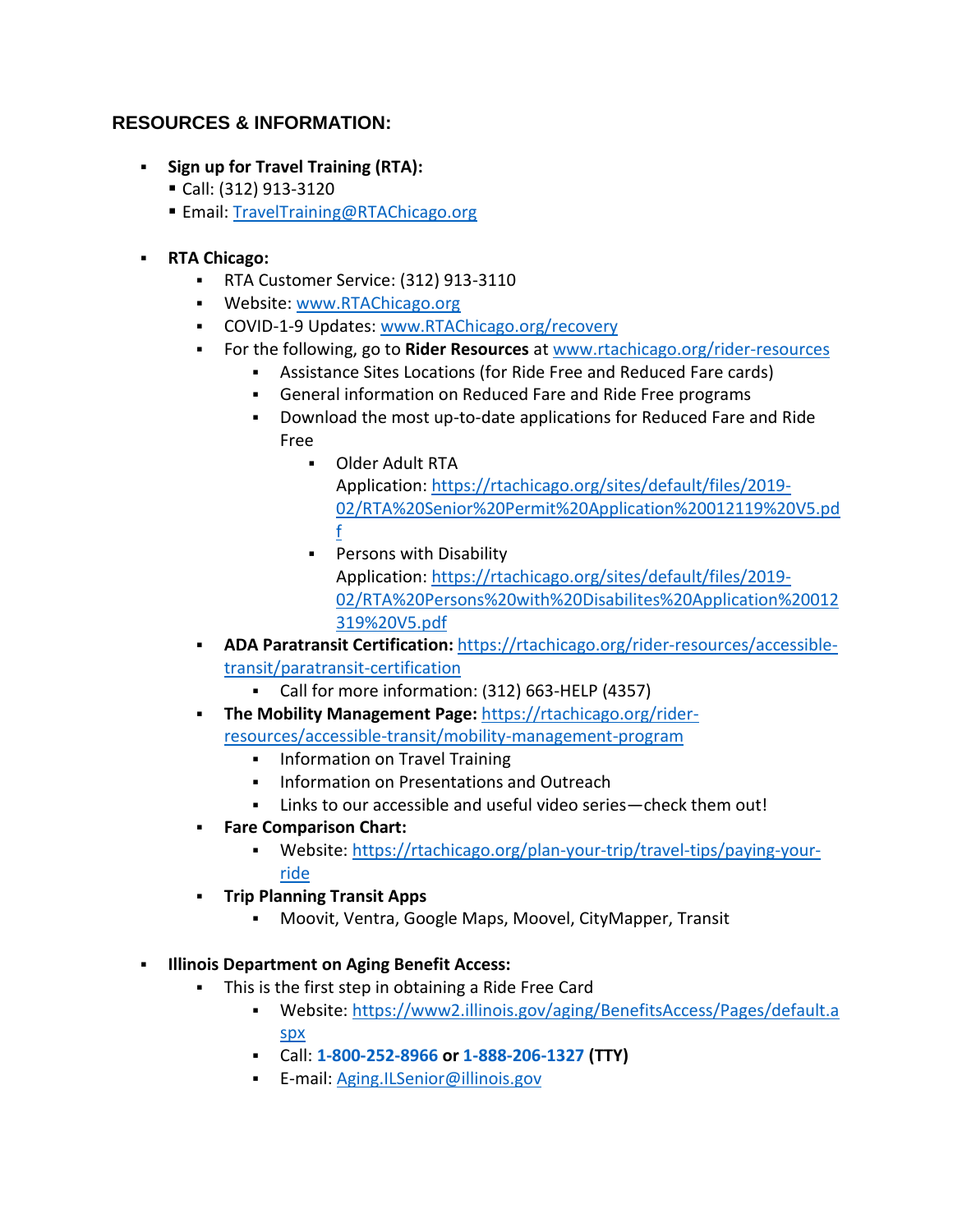## **RESOURCES & INFORMATION:**

- **Sign up for Travel Training (RTA):** 
	- Call: (312) 913-3120
	- Email: [TravelTraining@RTAChicago.org](javascript:void(0);)
- **RTA Chicago:**
	- RTA Customer Service: (312) 913-3110
	- **Website: [www.RTAChicago.org](https://gcc02.safelinks.protection.outlook.com/?url=http%3A%2F%2Fwww.rtachicago.org%2F&data=02%7C01%7CChamberlainL%40RTACHICAGO.ORG%7C0014b255609f4278ff1808d8616c047e%7Ca62b6cc678c04816a85c6b474f28b3b3%7C0%7C0%7C637366463979093072&sdata=9I336cyAGfohDWBihI5dFYO6p2fF61dOZ6tdeV3NW4M%3D&reserved=0)**
	- COVID-1-9 Updates: [www.RTAChicago.org/recovery](https://gcc02.safelinks.protection.outlook.com/?url=http%3A%2F%2Fwww.rtachicago.org%2Frecovery&data=02%7C01%7CChamberlainL%40RTACHICAGO.ORG%7C0014b255609f4278ff1808d8616c047e%7Ca62b6cc678c04816a85c6b474f28b3b3%7C0%7C0%7C637366463979093072&sdata=yEUgxO1cSAaIuI9NDWVLJObjN262H7RNc%2BOhQJKpa%2Bw%3D&reserved=0)
	- For the following, go to **Rider Resources** at [www.rtachicago.org/rider-resources](https://gcc02.safelinks.protection.outlook.com/?url=http%3A%2F%2Fwww.rtachicago.org%2Frider-resources&data=02%7C01%7CChamberlainL%40RTACHICAGO.ORG%7C0014b255609f4278ff1808d8616c047e%7Ca62b6cc678c04816a85c6b474f28b3b3%7C0%7C0%7C637366463979103007&sdata=%2FV3mBV7%2FnmeyeggDYnb8RT7MnJqM5TvYaxEF85xWRPc%3D&reserved=0)
		- Assistance Sites Locations (for Ride Free and Reduced Fare cards)
		- General information on Reduced Fare and Ride Free programs
		- Download the most up-to-date applications for Reduced Fare and Ride Free
			- Older Adult RTA Application: [https://rtachicago.org/sites/default/files/2019-](https://gcc02.safelinks.protection.outlook.com/?url=https%3A%2F%2Frtachicago.org%2Fsites%2Fdefault%2Ffiles%2F2019-02%2FRTA%2520Senior%2520Permit%2520Application%2520012119%2520V5.pdf&data=02%7C01%7CChamberlainL%40RTACHICAGO.ORG%7C0014b255609f4278ff1808d8616c047e%7Ca62b6cc678c04816a85c6b474f28b3b3%7C0%7C0%7C637366463979103007&sdata=3RYNW4lQxy%2B45cNYpfMHh9ISjLo4yao6ao%2FTcNJbCKU%3D&reserved=0) [02/RTA%20Senior%20Permit%20Application%20012119%20V5.pd](https://gcc02.safelinks.protection.outlook.com/?url=https%3A%2F%2Frtachicago.org%2Fsites%2Fdefault%2Ffiles%2F2019-02%2FRTA%2520Senior%2520Permit%2520Application%2520012119%2520V5.pdf&data=02%7C01%7CChamberlainL%40RTACHICAGO.ORG%7C0014b255609f4278ff1808d8616c047e%7Ca62b6cc678c04816a85c6b474f28b3b3%7C0%7C0%7C637366463979103007&sdata=3RYNW4lQxy%2B45cNYpfMHh9ISjLo4yao6ao%2FTcNJbCKU%3D&reserved=0) [f](https://gcc02.safelinks.protection.outlook.com/?url=https%3A%2F%2Frtachicago.org%2Fsites%2Fdefault%2Ffiles%2F2019-02%2FRTA%2520Senior%2520Permit%2520Application%2520012119%2520V5.pdf&data=02%7C01%7CChamberlainL%40RTACHICAGO.ORG%7C0014b255609f4278ff1808d8616c047e%7Ca62b6cc678c04816a85c6b474f28b3b3%7C0%7C0%7C637366463979103007&sdata=3RYNW4lQxy%2B45cNYpfMHh9ISjLo4yao6ao%2FTcNJbCKU%3D&reserved=0)
			- **Persons with Disability** Application: [https://rtachicago.org/sites/default/files/2019-](https://gcc02.safelinks.protection.outlook.com/?url=https%3A%2F%2Frtachicago.org%2Fsites%2Fdefault%2Ffiles%2F2019-02%2FRTA%2520Persons%2520with%2520Disabilites%2520Application%2520012319%2520V5.pdf&data=02%7C01%7CChamberlainL%40RTACHICAGO.ORG%7C0014b255609f4278ff1808d8616c047e%7Ca62b6cc678c04816a85c6b474f28b3b3%7C0%7C0%7C637366463979103007&sdata=8oW2YCk2NRskP%2FlVoJcZxm0%2BOclo71tEORSskv9hkWU%3D&reserved=0) [02/RTA%20Persons%20with%20Disabilites%20Application%20012](https://gcc02.safelinks.protection.outlook.com/?url=https%3A%2F%2Frtachicago.org%2Fsites%2Fdefault%2Ffiles%2F2019-02%2FRTA%2520Persons%2520with%2520Disabilites%2520Application%2520012319%2520V5.pdf&data=02%7C01%7CChamberlainL%40RTACHICAGO.ORG%7C0014b255609f4278ff1808d8616c047e%7Ca62b6cc678c04816a85c6b474f28b3b3%7C0%7C0%7C637366463979103007&sdata=8oW2YCk2NRskP%2FlVoJcZxm0%2BOclo71tEORSskv9hkWU%3D&reserved=0) [319%20V5.pdf](https://gcc02.safelinks.protection.outlook.com/?url=https%3A%2F%2Frtachicago.org%2Fsites%2Fdefault%2Ffiles%2F2019-02%2FRTA%2520Persons%2520with%2520Disabilites%2520Application%2520012319%2520V5.pdf&data=02%7C01%7CChamberlainL%40RTACHICAGO.ORG%7C0014b255609f4278ff1808d8616c047e%7Ca62b6cc678c04816a85c6b474f28b3b3%7C0%7C0%7C637366463979103007&sdata=8oW2YCk2NRskP%2FlVoJcZxm0%2BOclo71tEORSskv9hkWU%3D&reserved=0)
	- **ADA Paratransit Certification:** [https://rtachicago.org/rider-resources/accessible](https://gcc02.safelinks.protection.outlook.com/?url=https%3A%2F%2Frtachicago.org%2Frider-resources%2Faccessible-transit%2Fparatransit-certification&data=02%7C01%7CChamberlainL%40RTACHICAGO.ORG%7C0014b255609f4278ff1808d8616c047e%7Ca62b6cc678c04816a85c6b474f28b3b3%7C0%7C0%7C637366463979112965&sdata=p1aGltUkLs4joBtmIzh5KnbyPkSScrkecJyC7CgCBzE%3D&reserved=0)[transit/paratransit-certification](https://gcc02.safelinks.protection.outlook.com/?url=https%3A%2F%2Frtachicago.org%2Frider-resources%2Faccessible-transit%2Fparatransit-certification&data=02%7C01%7CChamberlainL%40RTACHICAGO.ORG%7C0014b255609f4278ff1808d8616c047e%7Ca62b6cc678c04816a85c6b474f28b3b3%7C0%7C0%7C637366463979112965&sdata=p1aGltUkLs4joBtmIzh5KnbyPkSScrkecJyC7CgCBzE%3D&reserved=0)
		- Call for more information: (312) 663-HELP (4357)
	- **The Mobility Management Page:** [https://rtachicago.org/rider](https://gcc02.safelinks.protection.outlook.com/?url=https%3A%2F%2Frtachicago.org%2Frider-resources%2Faccessible-transit%2Fmobility-management-program&data=02%7C01%7CChamberlainL%40RTACHICAGO.ORG%7C0014b255609f4278ff1808d8616c047e%7Ca62b6cc678c04816a85c6b474f28b3b3%7C0%7C0%7C637366463979112965&sdata=rDeMAJhWz%2FQxP3MHcQJZ8qVWVV3guEb8IWhvqfJDJts%3D&reserved=0)[resources/accessible-transit/mobility-management-program](https://gcc02.safelinks.protection.outlook.com/?url=https%3A%2F%2Frtachicago.org%2Frider-resources%2Faccessible-transit%2Fmobility-management-program&data=02%7C01%7CChamberlainL%40RTACHICAGO.ORG%7C0014b255609f4278ff1808d8616c047e%7Ca62b6cc678c04816a85c6b474f28b3b3%7C0%7C0%7C637366463979112965&sdata=rDeMAJhWz%2FQxP3MHcQJZ8qVWVV3guEb8IWhvqfJDJts%3D&reserved=0)
		- **Information on Travel Training**
		- **Information on Presentations and Outreach**
		- Links to our accessible and useful video series—check them out!
	- **Fare Comparison Chart:**
		- Website: [https://rtachicago.org/plan-your-trip/travel-tips/paying-your](https://rtachicago.org/plan-your-trip/travel-tips/paying-your-ride)[ride](https://rtachicago.org/plan-your-trip/travel-tips/paying-your-ride)
	- **Trip Planning Transit Apps**
		- Moovit, Ventra, Google Maps, Moovel, CityMapper, Transit
- **Illinois Department on Aging Benefit Access:**
	- This is the first step in obtaining a Ride Free Card
		- Website: [https://www2.illinois.gov/aging/BenefitsAccess/Pages/default.a](https://gcc02.safelinks.protection.outlook.com/?url=https%3A%2F%2Fwww2.illinois.gov%2Faging%2FBenefitsAccess%2FPages%2Fdefault.aspx&data=02%7C01%7CChamberlainL%40RTACHICAGO.ORG%7C0014b255609f4278ff1808d8616c047e%7Ca62b6cc678c04816a85c6b474f28b3b3%7C0%7C0%7C637366463979122918&sdata=xgz5f9Bk0I5A0yEAGI75a7PV7wkTEvi%2BEC4Err%2B9%2Beo%3D&reserved=0) [spx](https://gcc02.safelinks.protection.outlook.com/?url=https%3A%2F%2Fwww2.illinois.gov%2Faging%2FBenefitsAccess%2FPages%2Fdefault.aspx&data=02%7C01%7CChamberlainL%40RTACHICAGO.ORG%7C0014b255609f4278ff1808d8616c047e%7Ca62b6cc678c04816a85c6b474f28b3b3%7C0%7C0%7C637366463979122918&sdata=xgz5f9Bk0I5A0yEAGI75a7PV7wkTEvi%2BEC4Err%2B9%2Beo%3D&reserved=0)
		- Call: **[1-800-252-8966](http://tel:18002528966/) or [1-888-206-1327](http://tel:18882061327/) (TTY)**
		- E-mail: [Aging.ILSenior@illinois.gov](javascript:void(0);)